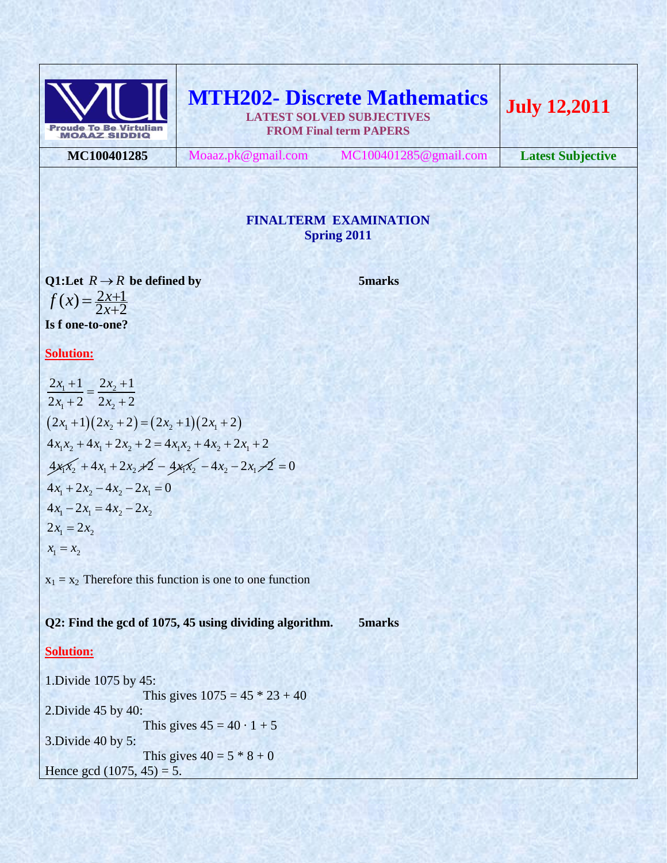

**MTH202- Discrete Mathematics LATEST SOLVED SUBJECTIVES FROM Final term PAPERS July 12,2011**

**MC100401285** Moaaz.pk@gmail.com MC100401285@gmail.com **Latest Subjective**

# **FINALTERM EXAMINATION Spring 2011**

Q1:Let  $R \to R$  be defined by 5marks  $f(x) = \frac{2x+1}{2x+2}$ **Is f one-to-one?**

**Solution:**

 $2x_1 + 2 - 2x_2 + 2$ <br>  $(2x_1 + 1)(2x_2 + 2) = (2x_2 + 1)(2x_1 + 2)$  $\frac{x_1 + 1}{x_2} = \frac{2x_2}{x_1}$  $\frac{1}{x_1+2} = \frac{1}{2x_2}$  $(2x_1+1)(2x_2+2)=(2x_2+1)(2x_1+2)$ <br>  $4x_1x_2+4x_1+2x_2+2=4x_1x_2+4x_2+2x_1+2$  $4x_1x_2 + 4x_1 + 2x_2 + 2 = 4x_1x_2 + 4x_2 + 2x_1 + 2$ <br>  $4x_1x_2 + 4x_1 + 2x_2 + 2 = 4x_1x_2 - 4x_2 - 2x_1 - 2 = 0$ <br>  $4x_1 + 2x_2 - 4x_2 - 2x_1 = 0$ <u>2x<sub>1</sub>+1</u> =  $\frac{2x_2+1}{x_2+1}$  $\frac{2x_1+1}{2x_1+2} = \frac{2x_2+1}{2x_2+2}$ <u> $\frac{x_1 + 1}{x_2 + 1} = \frac{2x}{x_1 + x_2}$ </u>  $\frac{x_1+1}{x_1+2} = \frac{2x}{2x}$  $(2x_1 + 1)(2x_2 + 2) = (2x_2 + 1)(2x_1 + 2)$ <br>  $x_1x_2 + 4x_1 + 2x_2 + 2 = 4x_1x_2 + 4x_2 + 2x_3$  $\frac{110012}{1} = \frac{2x_2 + 1}{1}$  $\frac{+1}{+2} = \frac{2x_2+1}{2x_2+2}$  $\overline{(-2)}$  -  $\overline{2x_2+2}$ <br>+1)(2x<sub>2</sub> + 2) = (2x<sub>2</sub> + 1)(2x<sub>1</sub> + 2)  $4x_1 + 2x_2 - 4x_2 - 2x_1 = 0$ <br>  $4x_1 - 2x_1 = 4x_2 - 2x_2$  $4x_1 - 2x_1 = 4x_2 - 2x_2$ <br>  $2x_1 = 2x_2$  $2x_1 = 2x_2$ <br> $x_1 = x_2$  $\frac{1}{1} = x_2$ 

 $x_1 = x_2$  Therefore this function is one to one function

**Q2: Find the gcd of 1075, 45 using dividing algorithm. 5marks**

# **Solution:**

1.Divide 1075 by 45: This gives  $1075 = 45 * 23 + 40$ 2.Divide 45 by 40: This gives  $45 = 40 \cdot 1 + 5$ 3.Divide 40 by 5: This gives  $40 = 5 * 8 + 0$ Hence gcd  $(1075, 45) = 5$ .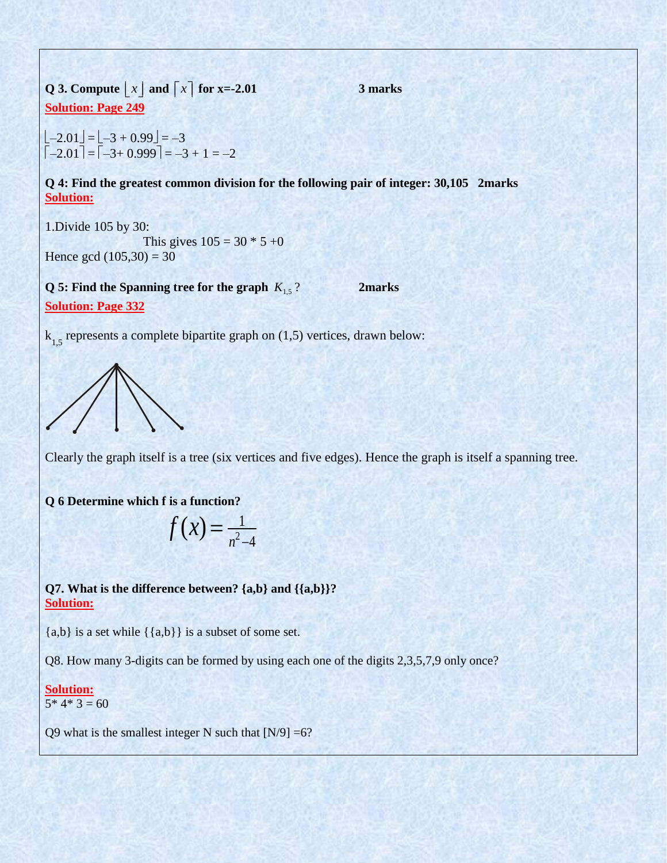**Q 3. Compute**  $\lfloor x \rfloor$  and  $\lfloor x \rfloor$  for x=-2.01 **3 marks Solution: Page 249**

 $\lfloor -2.01 \rfloor = \lfloor -3 + 0.99 \rfloor = -3$  $\begin{bmatrix} -2.01 \end{bmatrix} = \begin{bmatrix} -3 + 0.999 \end{bmatrix} = -3 + 1 = -2$ 

**Q 4: Find the greatest common division for the following pair of integer: 30,105 2marks Solution:**

1.Divide 105 by 30:

This gives  $105 = 30 * 5 +0$ Hence gcd  $(105,30) = 30$ 

**Q 5: Find the Spanning tree for the graph**  $K_{1,5}$ ? **2marks Solution: Page 332**

 $k_{1,5}$  represents a complete bipartite graph on (1,5) vertices, drawn below:



Clearly the graph itself is a tree (six vertices and five edges). Hence the graph is itself a spanning tree.

**Q 6 Determine which f is a function?**

$$
f(x) = \frac{1}{n^2 - 4}
$$

**Q7. What is the difference between? {a,b} and {{a,b}}? Solution:**

 ${a,b}$  is a set while  $({a,b})$  is a subset of some set.

Q8. How many 3-digits can be formed by using each one of the digits 2,3,5,7,9 only once?

#### **Solution:**  $5*4*3=60$

Q9 what is the smallest integer N such that  $[N/9] = 6$ ?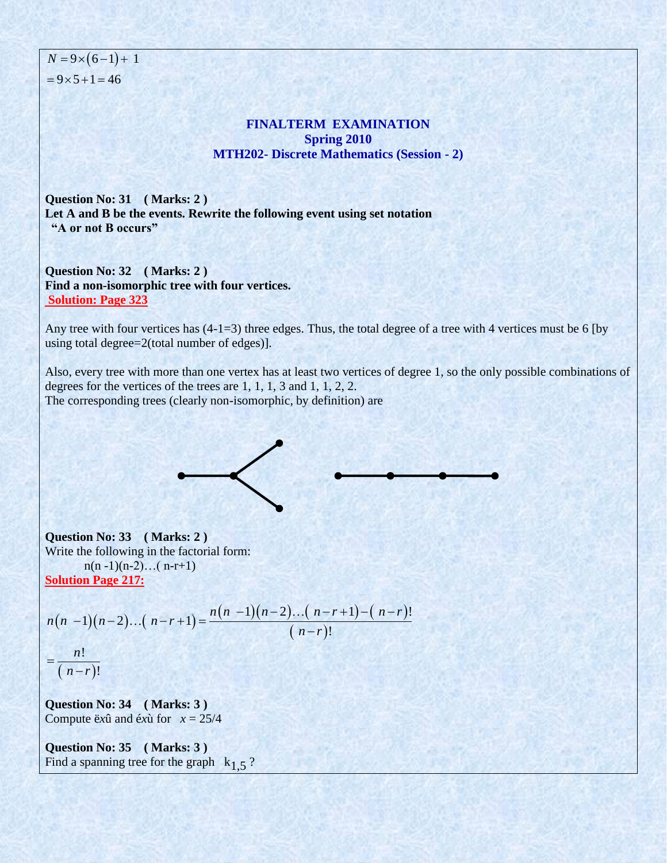$N = 9 \times (6-1) + 1$  $= 9 \times 5 + 1 = 46$ 

## **FINALTERM EXAMINATION Spring 2010 MTH202- Discrete Mathematics (Session - 2)**

**Question No: 31 ( Marks: 2 ) Let A and B be the events. Rewrite the following event using set notation "A or not B occurs"**

**Question No: 32 ( Marks: 2 ) Find a non-isomorphic tree with four vertices. Solution: Page 323**

Any tree with four vertices has  $(4-1=3)$  three edges. Thus, the total degree of a tree with 4 vertices must be 6 [by using total degree=2(total number of edges)].

Also, every tree with more than one vertex has at least two vertices of degree 1, so the only possible combinations of degrees for the vertices of the trees are 1, 1, 1, 3 and 1, 1, 2, 2. The corresponding trees (clearly non-isomorphic, by definition) are

**Question No: 33 ( Marks: 2 )**  Write the following in the factorial form:  $n(n-1)(n-2)...(n-r+1)$ 

Solution Page 217:  
\nSolution Page 217:  
\n
$$
n(n-1)(n-2)...(n-r+1) = \frac{n(n-1)(n-2)...(n-r+1)-(n-r)!}{(n-r)!}
$$

$$
=\frac{n!}{(n-r)!}
$$

**Question No: 34 ( Marks: 3 )**  Compute  $\ddot{e}x\hat{u}$  and  $\acute{e}x\hat{u}$  for  $x = 25/4$ 

**Question No: 35 ( Marks: 3 )**  Find a spanning tree for the graph  $k_{1.5}$ ?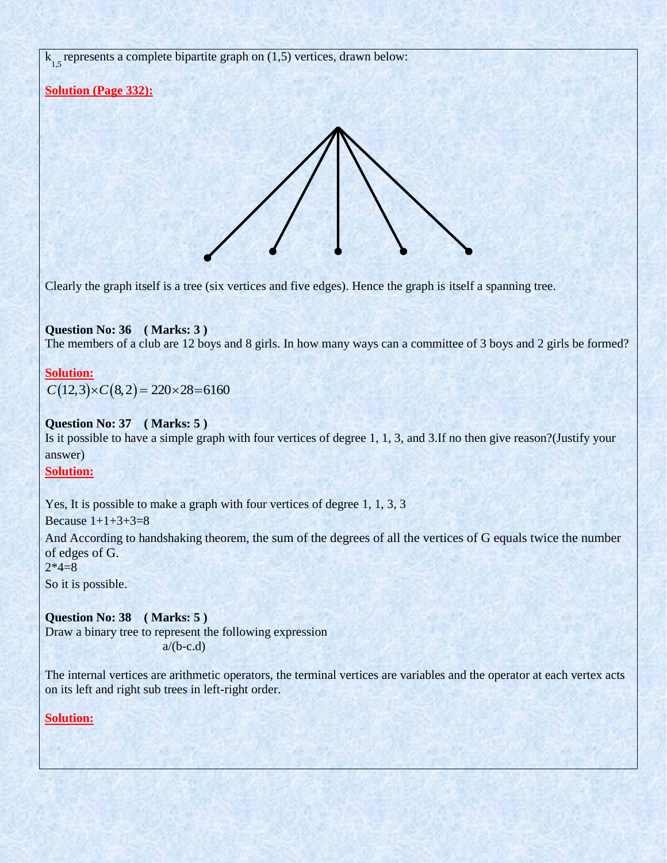$k_{1,5}$  represents a complete bipartite graph on (1,5) vertices, drawn below:

# **Solution (Page 332):**



Clearly the graph itself is a tree (six vertices and five edges). Hence the graph is itself a spanning tree.

#### **Question No: 36 ( Marks: 3 )**  The members of a club are 12 boys and 8 girls. In how many ways can a committee of 3 boys and 2 girls be formed?

# **Solution:**

 $C(12,3) \times C(8,2) = 220 \times 28 = 6160$ 

#### **Question No: 37 ( Marks: 5 )**

Is it possible to have a simple graph with four vertices of degree 1, 1, 3, and 3.If no then give reason?(Justify your answer)

## **Solution:**

Yes, It is possible to make a graph with four vertices of degree 1, 1, 3, 3

Because  $1+1+3+3=8$ 

And According to handshaking theorem, the sum of the degrees of all the vertices of G equals twice the number of edges of G.

 $2*4=8$ 

So it is possible.

**Question No: 38 ( Marks: 5 )**  Draw a binary tree to represent the following expression  $a/(b-c.d)$ 

The internal vertices are arithmetic operators, the terminal vertices are variables and the operator at each vertex acts on its left and right sub trees in left-right order.

# **Solution:**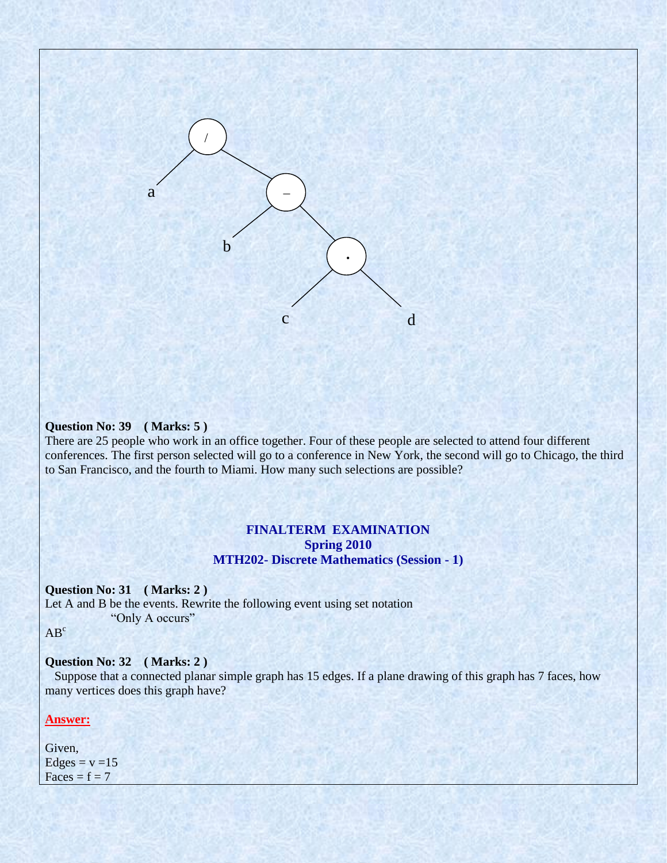

#### **Question No: 39 ( Marks: 5 )**

There are 25 people who work in an office together. Four of these people are selected to attend four different conferences. The first person selected will go to a conference in New York, the second will go to Chicago, the third to San Francisco, and the fourth to Miami. How many such selections are possible?

#### **FINALTERM EXAMINATION Spring 2010 MTH202- Discrete Mathematics (Session - 1)**

#### **Question No: 31 ( Marks: 2 )**

Let A and B be the events. Rewrite the following event using set notation "Only A occurs"

AB<sup>c</sup>

#### **Question No: 32 ( Marks: 2 )**

 Suppose that a connected planar simple graph has 15 edges. If a plane drawing of this graph has 7 faces, how many vertices does this graph have?

#### **Answer:**

Given,  $Edges = v = 15$  $Faces = f = 7$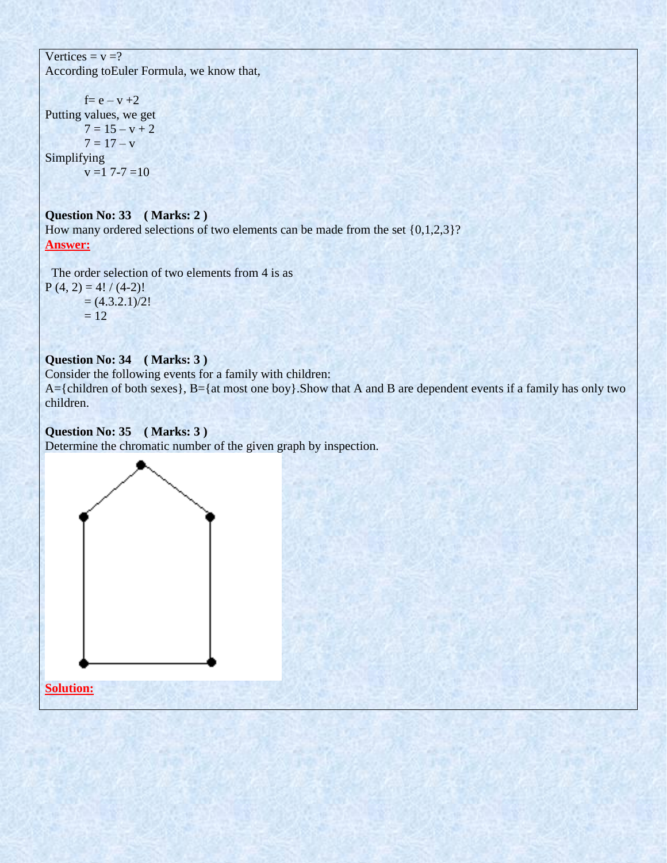Vertices =  $v = ?$ According toEuler Formula, we know that,

 $f = e - v + 2$ Putting values, we get  $7 = 15 - v + 2$  $7 = 17 - v$ Simplifying  $v = 17 - 7 = 10$ 

**Question No: 33 ( Marks: 2 )**  How many ordered selections of two elements can be made from the set  $\{0,1,2,3\}$ ? **Answer:**

 The order selection of two elements from 4 is as  $P(4, 2) = 4! / (4-2)!$  $= (4.3.2.1)/2!$  $= 12$ 

# **Question No: 34 ( Marks: 3 )**

Consider the following events for a family with children: A={children of both sexes}, B={at most one boy}.Show that A and B are dependent events if a family has only two children.

## **Question No: 35 ( Marks: 3 )**

Determine the chromatic number of the given graph by inspection.

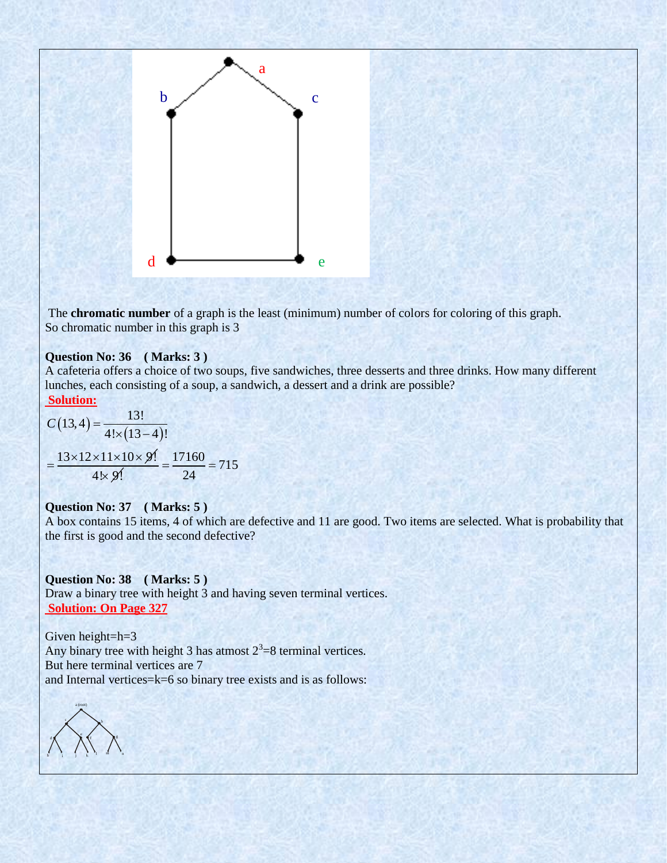

The **chromatic number** of a graph is the least (minimum) number of colors for coloring of this graph. So chromatic number in this graph is 3

#### **Question No: 36 ( Marks: 3 )**

A cafeteria offers a choice of two soups, five sandwiches, three desserts and three drinks. How many different lunches, each consisting of a soup, a sandwich, a dessert and a drink are possible? **Solution:**

$$
C(13,4) = \frac{13!}{4! \times (13-4)!}
$$

$$
= \frac{13 \times 12 \times 11 \times 10 \times 9!}{4 \times 9!} = \frac{17160}{24} = 715
$$

#### **Question No: 37 ( Marks: 5 )**

A box contains 15 items, 4 of which are defective and 11 are good. Two items are selected. What is probability that the first is good and the second defective?

**Question No: 38 ( Marks: 5 )**  Draw a binary tree with height 3 and having seven terminal vertices. **Solution: On Page 327**

Given height=h=3 Any binary tree with height 3 has atmost  $2^3 = 8$  terminal vertices. But here terminal vertices are 7 and Internal vertices=k=6 so binary tree exists and is as follows:

a (root)  $\mathbf{b}$  $\epsilon$ d e  $f$   $\mathbb{R}^g$ h i j k l m n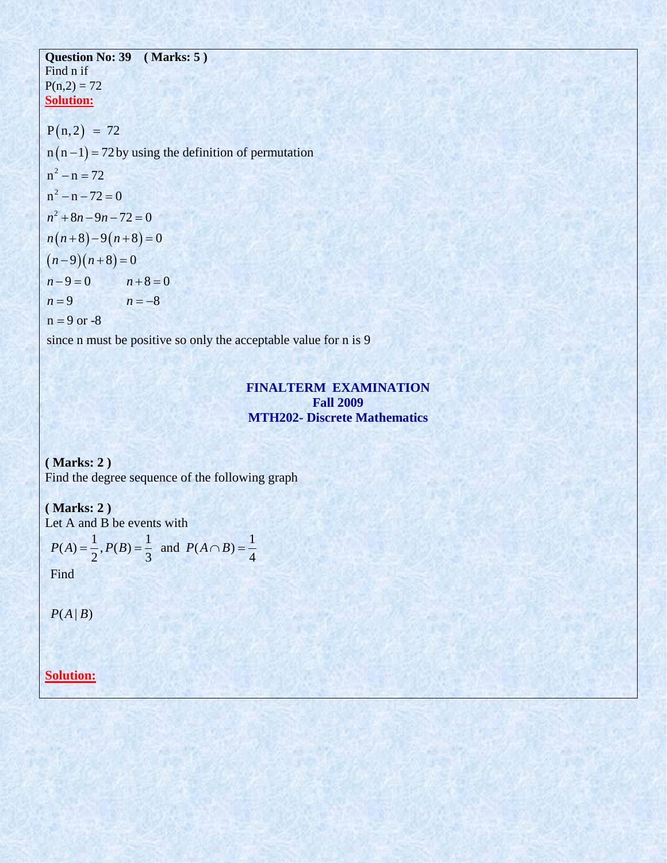#### **Question No: 39 ( Marks: 5 )**  Find n if  $P(n,2) = 72$ **Solution: Solution:**<br> $P(n, 2) = 72$  $P(n, 2) = 72$ <br>n  $(n-1) = 72$  by using the definition of permutation  $n^2 - n = 72$ 2  $n(n-1) = 7$ <br>  $n^2 - n = 72$  $n^2 - n = 72$ <br> $n^2 - n - 72 = 0$  $(2) = 72$ <br>-1) = 72 by usi  $(n-1) = 72$  by u<br>- n = 72  $-n = 72$ <br>- n = 72<br>- n - 72 = 0

 $x^2+8n-9n-72=0$ <br>  $(n+8)-9(n+8)=0$  $(n-9)(n+8)=0$ 2  $n-72 = 0$ <br>+8n - 9n - 72 = 0  $(4+8)-9(n+8)$ <br>9  $(n+8)=0$  $(9)(n+8) = 0$ <br>9 = 0  $n+8 = 0$  $9 = 0$   $n+8=$ <br>9  $n=-8$  $n - 9 = 0$ <br>  $n = 9$ <br>  $n = 9$  or -8  $n^2 - n - 72 =$ <br> $n^2 + 8n - 9n$ *n*<sup>2</sup> + 8*n* - 9*n* -  $n^{2}$ <br>*n*(*n* + 8) - 9(*n*)  $n(n+8)$ <br> $n-9$ )(*n*  $(n+9)(n+8) = (n+8)$ <br> $n-9=0$  n  $(n-2)(n+8) = (n-8)$ <br>  $n-9 = 0$  n<br>  $n = 9$  n  $n-2=0$ <br>  $8n-9n-72=0$ <br>  $+8)-9(n+8)=0$  $(n+8)-9(n+8)=0$ <br>-9(n+8)=0  $(n+3)$   $(n+3) = 0$ <br>  $(-9)(n+8) = 0$ <br>  $-9 = 0$   $n+8 = 0$  $(-9)(n+8) = 0$ <br>  $-9 = 0$   $n+8 = 0$ <br>  $n = -8$ 

since n must be positive so only the acceptable value for n is 9

# **FINALTERM EXAMINATION Fall 2009 MTH202- Discrete Mathematics**

**( Marks: 2 )** Find the degree sequence of the following graph

# **( Marks: 2 )**

Let A and B be events with  
\n
$$
P(A) = \frac{1}{2}, P(B) = \frac{1}{3} \text{ and } P(A \cap B) = \frac{1}{4}
$$

Find

 $P(A | B)$ 

**Solution:**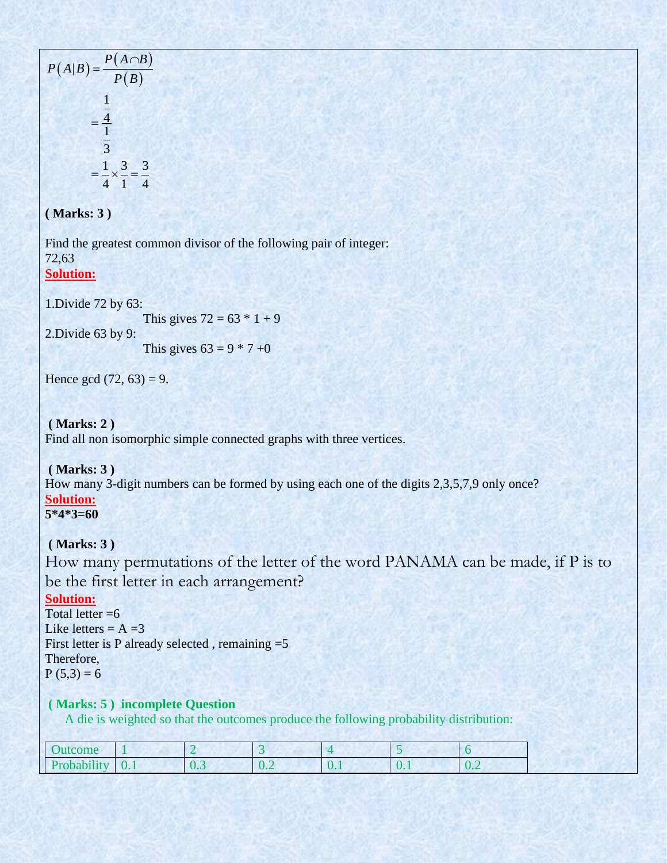$$
P(A|B) = \frac{P(A \cap B)}{P(B)}
$$

$$
= \frac{\frac{1}{4}}{\frac{1}{3}}
$$

$$
= \frac{1}{4} \times \frac{3}{1} = \frac{3}{4}
$$

# **( Marks: 3 )**

Find the greatest common divisor of the following pair of integer: 72,63 **Solution:**

1.Divide 72 by 63:

```
This gives 72 = 63 * 1 + 9
```
2.Divide 63 by 9:

This gives  $63 = 9 * 7 +0$ 

Hence gcd  $(72, 63) = 9$ .

**( Marks: 2 )** Find all non isomorphic simple connected graphs with three vertices.

## **( Marks: 3 )**

How many 3-digit numbers can be formed by using each one of the digits 2,3,5,7,9 only once? **Solution: 5\*4\*3=60**

**( Marks: 3 )**

How many permutations of the letter of the word PANAMA can be made, if P is to be the first letter in each arrangement?

## **Solution:**

Total letter  $=6$ Like letters  $= A = 3$ First letter is P already selected , remaining =5 Therefore,  $P(5,3) = 6$ 

## **( Marks: 5 ) incomplete Question**

A die is weighted so that the outcomes produce the following probability distribution:

| Jutcome                          |                |                                         |                                            |                                             |     |                               |
|----------------------------------|----------------|-----------------------------------------|--------------------------------------------|---------------------------------------------|-----|-------------------------------|
| <b>CONTRACTOR</b><br>Probability | $\sim$<br>v. 1 | $\sim$ $\sim$<br>$\mathsf{v}\mathsf{v}$ | $\sim$<br>$\mathsf{U}$ . $\mathsf{\omega}$ | $\sqrt{ }$<br>$\mathbf{U} \cdot \mathbf{I}$ | v., | $\mathbf{U} \cdot \mathbf{L}$ |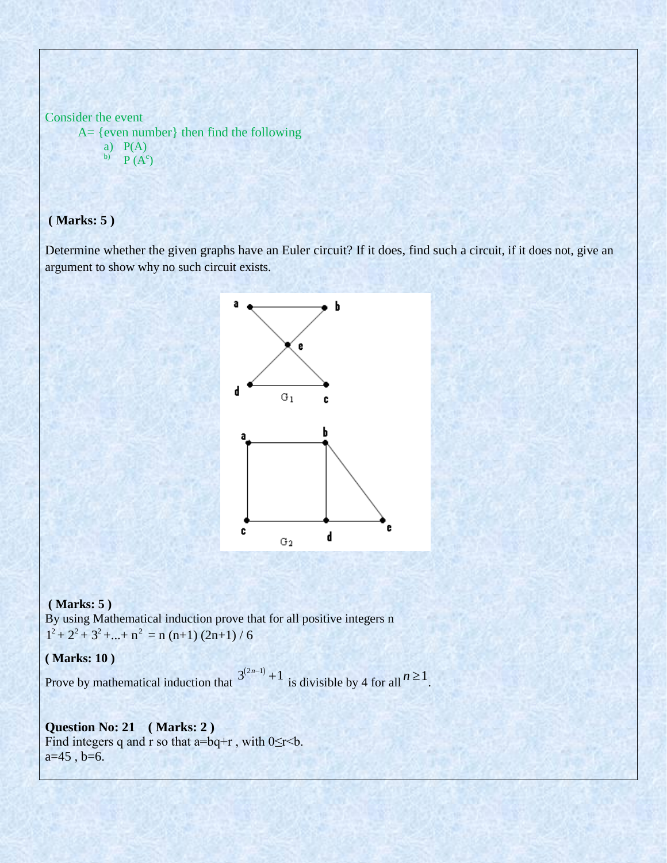```
Consider the event
      A= {even number} then find the following
          a) P(A)b) P(A^c)
```
# **( Marks: 5 )**

Determine whether the given graphs have an Euler circuit? If it does, find such a circuit, if it does not, give an argument to show why no such circuit exists.



#### **( Marks: 5 )**

By using Mathematical induction prove that for all positive integers n  $1^2 + 2^2 + 3^2 + \dots + n^2 = n (n+1) (2n+1) / 6$ 

**( Marks: 10 )** 

Prove by mathematical induction that  $3^{(2n-1)}$  + 1 is divisible by 4 for all  $n \ge 1$ .

## **Question No: 21 ( Marks: 2 )**  Find integers q and r so that  $a=bq+r$ , with  $0 \le r < b$ .  $a=45$ ,  $b=6$ .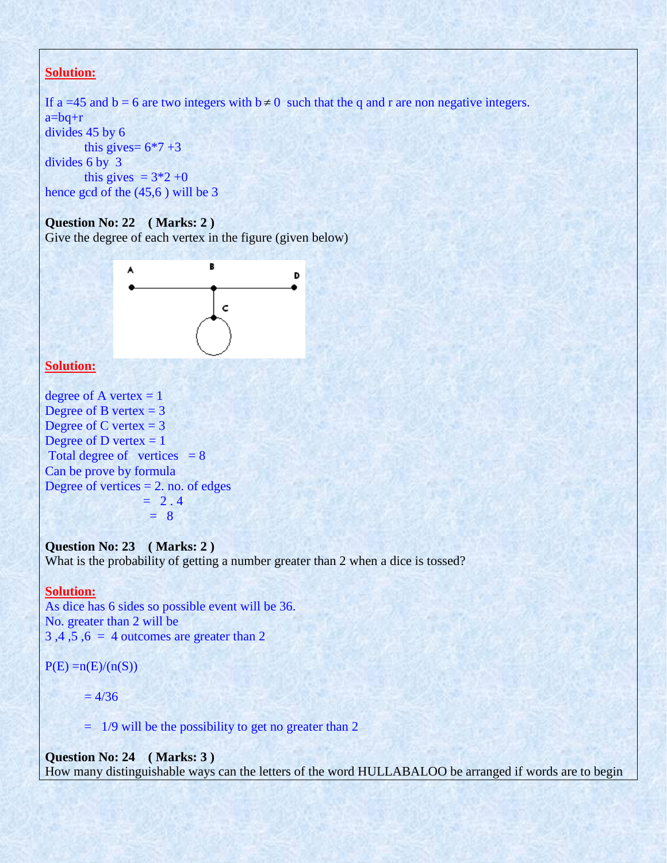# **Solution:**

```
If a =45 and b = 6 are two integers with b \ne 0 such that the q and r are non negative integers.
a=bq+r 
divides 45 by 6 
       this gives= 6*7+3divides 6 by 3 
       this gives = 3*2+0hence gcd of the (45,6 ) will be 3
```
## **Question No: 22 ( Marks: 2 )**

Give the degree of each vertex in the figure (given below)



### **Solution:**

degree of A vertex  $= 1$ Degree of B vertex  $= 3$ Degree of C vertex  $= 3$ Degree of D vertex  $= 1$ Total degree of vertices  $= 8$ Can be prove by formula Degree of vertices  $= 2$ . no. of edges  $= 2.4$  $= 8$ 

# **Question No: 23 ( Marks: 2 )**

What is the probability of getting a number greater than 2 when a dice is tossed?

#### **Solution:**

As dice has 6 sides so possible event will be 36. No. greater than 2 will be  $3, 4, 5, 6 = 4$  outcomes are greater than 2

 $P(E) = n(E)/(n(S))$ 

 $= 4/36$ 

 $=$  1/9 will be the possibility to get no greater than 2

**Question No: 24 ( Marks: 3 )**  How many distinguishable ways can the letters of the word HULLABALOO be arranged if words are to begin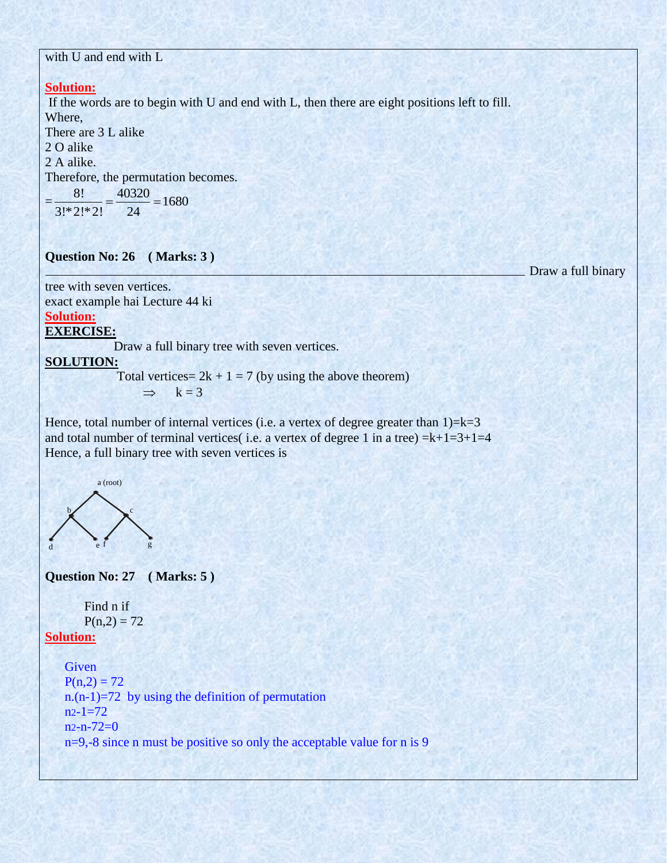# with U and end with L

# **Solution:**

If the words are to begin with U and end with L, then there are eight positions left to fill. Where,

There are 3 L alike 2 O alike 2 A alike. Therefore, the permutation becomes.<br>=  $\frac{8!}{6!(2)(20)!} = \frac{40320}{20!} = 1680$  $\frac{40320}{2}$  = 1680

$$
=\frac{3!}{3!*2!*2!}=\frac{40!}{24}24=16
$$

**Question No: 26 ( Marks: 3 )** 

Draw a full binary

tree with seven vertices. exact example hai Lecture 44 ki

# **Solution:**

## **EXERCISE:**

Draw a full binary tree with seven vertices.

#### **SOLUTION:**

Total vertices =  $2k + 1 = 7$  (by using the above theorem)

 $\Rightarrow$  k = 3

Hence, total number of internal vertices (i.e. a vertex of degree greater than  $1)=k=3$ and total number of terminal vertices( i.e. a vertex of degree 1 in a tree)  $=k+1=3+1=4$ Hence, a full binary tree with seven vertices is



**Question No: 27 ( Marks: 5 )** 

```
Find n if
P(n,2) = 72
```
# **Solution:**

**Given**  $P(n,2) = 72$ n. $(n-1)=72$  by using the definition of permutation  $n2-1=72$  $n2-n-72=0$ n=9,-8 since n must be positive so only the acceptable value for n is 9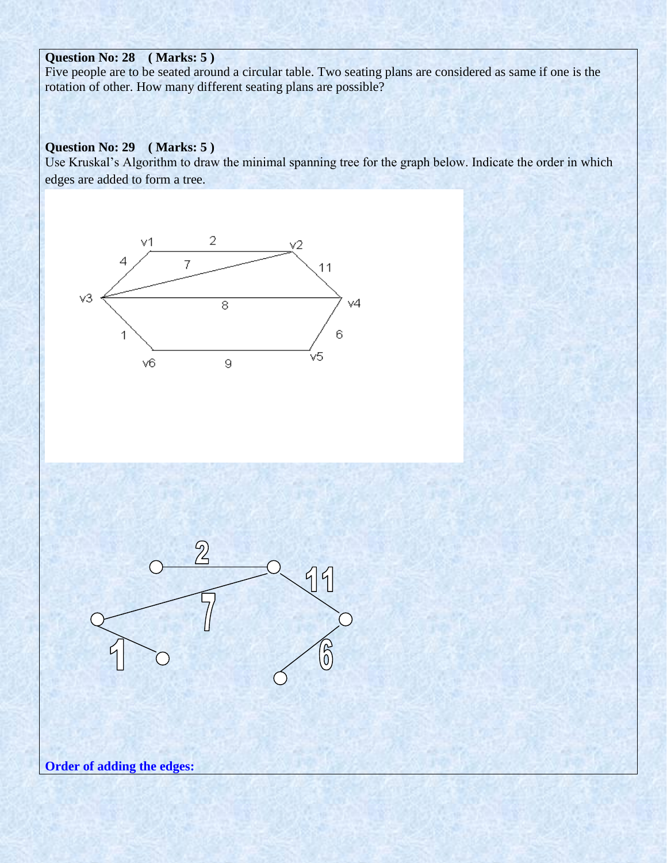# **Question No: 28 ( Marks: 5 )**

Five people are to be seated around a circular table. Two seating plans are considered as same if one is the rotation of other. How many different seating plans are possible?

# **Question No: 29 ( Marks: 5 )**

Use Kruskal's Algorithm to draw the minimal spanning tree for the graph below. Indicate the order in which edges are added to form a tree.





**Order of adding the edges:**